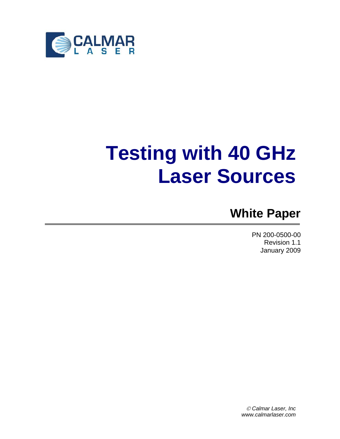

# **Testing with 40 GHz Laser Sources**

# **White Paper**

PN 200-0500-00 Revision 1.1 January 2009

© *Calmar Laser, Inc www.calmarlaser.com*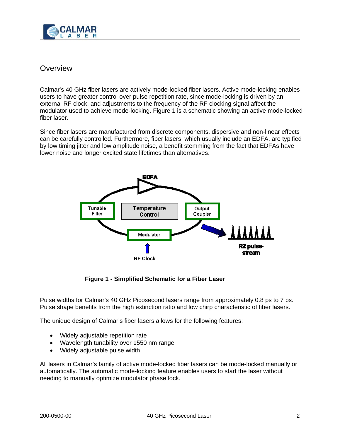

### **Overview**

Calmar's 40 GHz fiber lasers are actively mode-locked fiber lasers. Active mode-locking enables users to have greater control over pulse repetition rate, since mode-locking is driven by an external RF clock, and adjustments to the frequency of the RF clocking signal affect the modulator used to achieve mode-locking. Figure 1 is a schematic showing an active mode-locked fiber laser.

Since fiber lasers are manufactured from discrete components, dispersive and non-linear effects can be carefully controlled. Furthermore, fiber lasers, which usually include an EDFA, are typified by low timing jitter and low amplitude noise, a benefit stemming from the fact that EDFAs have lower noise and longer excited state lifetimes than alternatives.



**Figure 1 - Simplified Schematic for a Fiber Laser** 

Pulse widths for Calmar's 40 GHz Picosecond lasers range from approximately 0.8 ps to 7 ps. Pulse shape benefits from the high extinction ratio and low chirp characteristic of fiber lasers.

The unique design of Calmar's fiber lasers allows for the following features:

- Widely adjustable repetition rate
- Wavelength tunability over 1550 nm range
- Widely adjustable pulse width

All lasers in Calmar's family of active mode-locked fiber lasers can be mode-locked manually or automatically. The automatic mode-locking feature enables users to start the laser without needing to manually optimize modulator phase lock.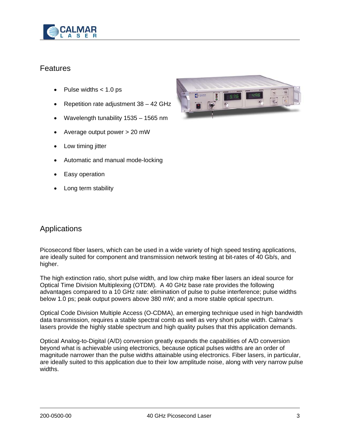

## **Features**

- Pulse widths  $< 1.0$  ps
- Repetition rate adjustment 38 42 GHz
- Wavelength tunability 1535 1565 nm
- Average output power > 20 mW
- Low timing jitter
- Automatic and manual mode-locking
- Easy operation
- Long term stability



#### Applications

Picosecond fiber lasers, which can be used in a wide variety of high speed testing applications, are ideally suited for component and transmission network testing at bit-rates of 40 Gb/s, and higher.

The high extinction ratio, short pulse width, and low chirp make fiber lasers an ideal source for Optical Time Division Multiplexing (OTDM). A 40 GHz base rate provides the following advantages compared to a 10 GHz rate: elimination of pulse to pulse interference; pulse widths below 1.0 ps; peak output powers above 380 mW; and a more stable optical spectrum.

Optical Code Division Multiple Access (O-CDMA), an emerging technique used in high bandwidth data transmission, requires a stable spectral comb as well as very short pulse width. Calmar's lasers provide the highly stable spectrum and high quality pulses that this application demands.

Optical Analog-to-Digital (A/D) conversion greatly expands the capabilities of A/D conversion beyond what is achievable using electronics, because optical pulses widths are an order of magnitude narrower than the pulse widths attainable using electronics. Fiber lasers, in particular, are ideally suited to this application due to their low amplitude noise, along with very narrow pulse widths.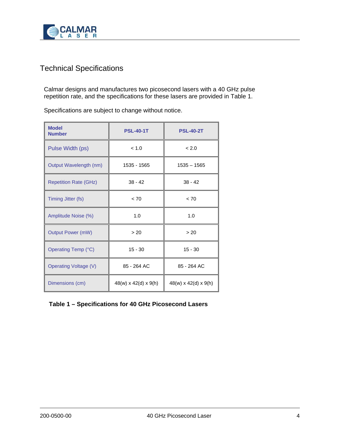

# Technical Specifications

Calmar designs and manufactures two picosecond lasers with a 40 GHz pulse repetition rate, and the specifications for these lasers are provided in Table 1.

Specifications are subject to change without notice.

| <b>Model</b><br><b>Number</b> | <b>PSL-40-1T</b>                 | <b>PSL-40-2T</b>     |
|-------------------------------|----------------------------------|----------------------|
| Pulse Width (ps)              | < 1.0                            | < 2.0                |
| Output Wavelength (nm)        | 1535 - 1565                      | $1535 - 1565$        |
| <b>Repetition Rate (GHz)</b>  | $38 - 42$                        | $38 - 42$            |
| Timing Jitter (fs)            | < 70                             | < 70                 |
| Amplitude Noise (%)           | 1.0                              | 1.0                  |
| <b>Output Power (mW)</b>      | > 20                             | > 20                 |
| Operating Temp (°C)           | $15 - 30$                        | $15 - 30$            |
| <b>Operating Voltage (V)</b>  | 85 - 264 AC                      | 85 - 264 AC          |
| Dimensions (cm)               | $48(w) \times 42(d) \times 9(h)$ | 48(w) x 42(d) x 9(h) |

#### **Table 1 – Specifications for 40 GHz Picosecond Lasers**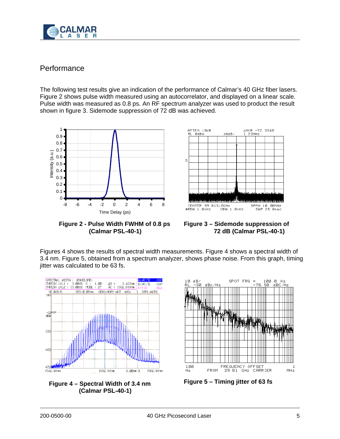

# **Performance**

The following test results give an indication of the performance of Calmar's 40 GHz fiber lasers. Figure 2 shows pulse width measured using an autocorrelator, and displayed on a linear scale. Pulse width was measured as 0.8 ps. An RF spectrum analyzer was used to product the result shown in figure 3. Sidemode suppression of 72 dB was achieved.



**Figure 2 - Pulse Width FWHM of 0.8 ps (Calmar PSL-40-1)**



**Figure 3 – Sidemode suppression of 72 dB (Calmar PSL-40-1)**

Figures 4 shows the results of spectral width measurements. Figure 4 shows a spectral width of 3.4 nm. Figure 5, obtained from a spectrum analyzer, shows phase noise. From this graph, timing jitter was calculated to be 63 fs.





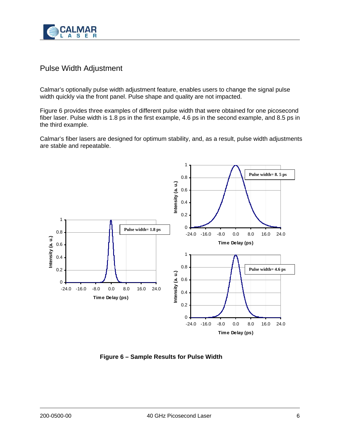

# Pulse Width Adjustment

Calmar's optionally pulse width adjustment feature, enables users to change the signal pulse width quickly via the front panel. Pulse shape and quality are not impacted.

Figure 6 provides three examples of different pulse width that were obtained for one picosecond fiber laser. Pulse width is 1.8 ps in the first example, 4.6 ps in the second example, and 8.5 ps in the third example.

Calmar's fiber lasers are designed for optimum stability, and, as a result, pulse width adjustments are stable and repeatable.



**Figure 6 – Sample Results for Pulse Width**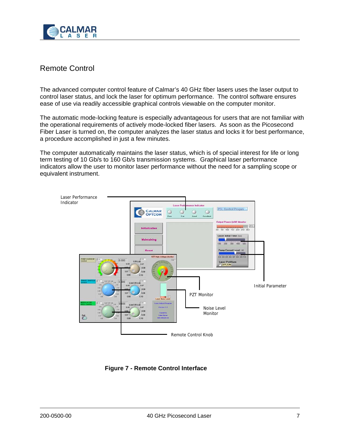

# Remote Control

The advanced computer control feature of Calmar's 40 GHz fiber lasers uses the laser output to control laser status, and lock the laser for optimum performance. The control software ensures ease of use via readily accessible graphical controls viewable on the computer monitor.

The automatic mode-locking feature is especially advantageous for users that are not familiar with the operational requirements of actively mode-locked fiber lasers. As soon as the Picosecond Fiber Laser is turned on, the computer analyzes the laser status and locks it for best performance, a procedure accomplished in just a few minutes.

The computer automatically maintains the laser status, which is of special interest for life or long term testing of 10 Gb/s to 160 Gb/s transmission systems. Graphical laser performance indicators allow the user to monitor laser performance without the need for a sampling scope or equivalent instrument.



**Figure 7 - Remote Control Interface**